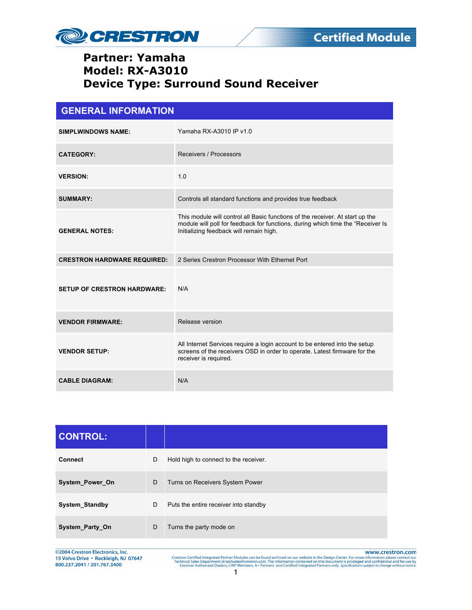

| <b>GENERAL INFORMATION</b>         |                                                                                                                                                                                                              |  |
|------------------------------------|--------------------------------------------------------------------------------------------------------------------------------------------------------------------------------------------------------------|--|
| <b>SIMPLWINDOWS NAME:</b>          | Yamaha RX-A3010 IP v1.0                                                                                                                                                                                      |  |
| <b>CATEGORY:</b>                   | Receivers / Processors                                                                                                                                                                                       |  |
| <b>VERSION:</b>                    | 1.0                                                                                                                                                                                                          |  |
| <b>SUMMARY:</b>                    | Controls all standard functions and provides true feedback                                                                                                                                                   |  |
| <b>GENERAL NOTES:</b>              | This module will control all Basic functions of the receiver. At start up the<br>module will poll for feedback for functions, during which time the "Receiver Is"<br>Initializing feedback will remain high. |  |
| <b>CRESTRON HARDWARE REQUIRED:</b> | 2 Series Crestron Processor With Ethernet Port                                                                                                                                                               |  |
| <b>SETUP OF CRESTRON HARDWARE:</b> | N/A                                                                                                                                                                                                          |  |
| <b>VENDOR FIRMWARE:</b>            | Release version                                                                                                                                                                                              |  |
| <b>VENDOR SETUP:</b>               | All Internet Services require a login account to be entered into the setup<br>screens of the receivers OSD in order to operate. Latest firmware for the<br>receiver is required.                             |  |
| <b>CABLE DIAGRAM:</b>              | N/A                                                                                                                                                                                                          |  |

| <b>CONTROL:</b>       |   |                                       |
|-----------------------|---|---------------------------------------|
| <b>Connect</b>        | D | Hold high to connect to the receiver. |
| System_Power_On       | D | Turns on Receivers System Power       |
| <b>System Standby</b> | D | Puts the entire receiver into standby |
| System_Party_On       | D | Turns the party mode on               |

©2004 Crestron Electronics, Inc. 15 Volvo Drive · Rockleigh, NJ 07647 800.237.2041 / 201.767.3400

www.crestron.com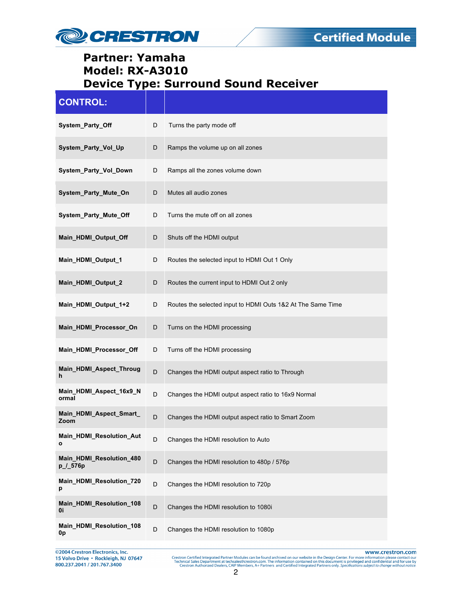

| <b>CONTROL:</b>                      |   |                                                             |
|--------------------------------------|---|-------------------------------------------------------------|
| System_Party_Off                     | D | Turns the party mode off                                    |
| System_Party_Vol_Up                  | D | Ramps the volume up on all zones                            |
| System_Party_Vol_Down                | D | Ramps all the zones volume down                             |
| System_Party_Mute_On                 | D | Mutes all audio zones                                       |
| System_Party_Mute_Off                | D | Turns the mute off on all zones                             |
| Main_HDMI_Output_Off                 | D | Shuts off the HDMI output                                   |
| Main_HDMI_Output_1                   | D | Routes the selected input to HDMI Out 1 Only                |
| Main_HDMI_Output_2                   | D | Routes the current input to HDMI Out 2 only                 |
| Main HDMI Output 1+2                 | D | Routes the selected input to HDMI Outs 1&2 At The Same Time |
| Main_HDMI_Processor_On               | D | Turns on the HDMI processing                                |
| Main_HDMI_Processor_Off              | D | Turns off the HDMI processing                               |
| Main_HDMI_Aspect_Throug<br>h         | D | Changes the HDMI output aspect ratio to Through             |
| Main_HDMI_Aspect_16x9_N<br>ormal     | D | Changes the HDMI output aspect ratio to 16x9 Normal         |
| Main_HDMI_Aspect_Smart_<br>Zoom      | D | Changes the HDMI output aspect ratio to Smart Zoom          |
| Main_HDMI_Resolution_Aut<br>ο        | D | Changes the HDMI resolution to Auto                         |
| Main_HDMI_Resolution_480<br>p_/_576p | D | Changes the HDMI resolution to 480p / 576p                  |
| Main_HDMI_Resolution_720<br>р        | D | Changes the HDMI resolution to 720p                         |
| Main_HDMI_Resolution_108<br>0i       | D | Changes the HDMI resolution to 1080i                        |
| Main HDMI Resolution 108<br>0p       | D | Changes the HDMI resolution to 1080p                        |

@2004 Crestron Electronics, Inc.<br>15 Volvo Drive • Rockleigh, NJ 07647<br>800.237.2041 / 201.767.3400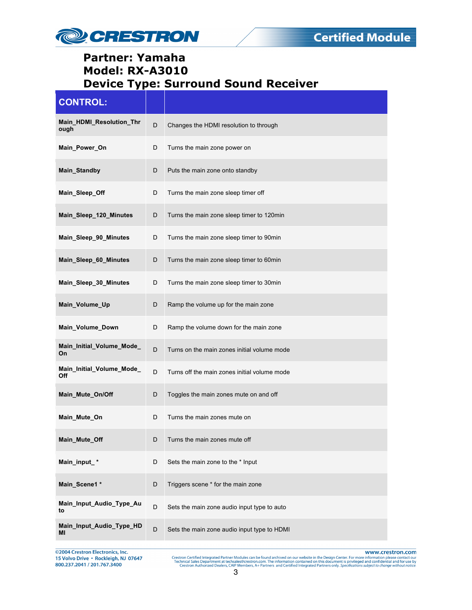

| <b>CONTROL:</b>                  |   |                                              |
|----------------------------------|---|----------------------------------------------|
| Main_HDMI_Resolution_Thr<br>ough | D | Changes the HDMI resolution to through       |
| Main_Power_On                    | D | Turns the main zone power on                 |
| Main Standby                     | D | Puts the main zone onto standby              |
| Main_Sleep_Off                   | D | Turns the main zone sleep timer off          |
| Main_Sleep_120_Minutes           | D | Turns the main zone sleep timer to 120min    |
| Main_Sleep_90_Minutes            | D | Turns the main zone sleep timer to 90min     |
| Main_Sleep_60_Minutes            | D | Turns the main zone sleep timer to 60min     |
| Main_Sleep_30_Minutes            | D | Turns the main zone sleep timer to 30min     |
| Main_Volume_Up                   | D | Ramp the volume up for the main zone         |
| Main_Volume_Down                 | D | Ramp the volume down for the main zone       |
| Main_Initial_Volume_Mode_<br>On  | D | Turns on the main zones initial volume mode  |
| Main_Initial_Volume_Mode_<br>Off | D | Turns off the main zones initial volume mode |
| Main_Mute_On/Off                 | D | Toggles the main zones mute on and off       |
| Main_Mute_On                     | D | Turns the main zones mute on                 |
| Main_Mute_Off                    |   | Turns the main zones mute off                |
| Main_input_*                     | D | Sets the main zone to the * Input            |
| Main_Scene1 *                    | D | Triggers scene * for the main zone           |
| Main_Input_Audio_Type_Au<br>to   | D | Sets the main zone audio input type to auto  |
| Main_Input_Audio_Type_HD<br>ΜI   | D | Sets the main zone audio input type to HDMI  |

@2004 Crestron Electronics, Inc. 15 Volvo Drive · Rockleigh, NJ 07647 800.237.2041 / 201.767.3400

www.crestron.com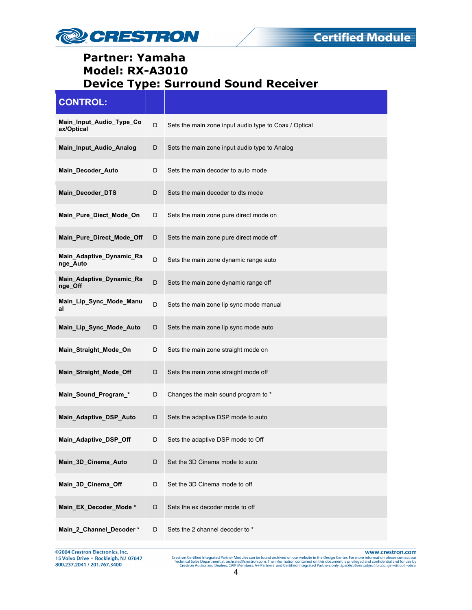

| <b>CONTROL:</b>                        |   |                                                       |
|----------------------------------------|---|-------------------------------------------------------|
| Main_Input_Audio_Type_Co<br>ax/Optical | D | Sets the main zone input audio type to Coax / Optical |
| Main_Input_Audio_Analog                | D | Sets the main zone input audio type to Analog         |
| Main_Decoder_Auto                      | D | Sets the main decoder to auto mode                    |
| Main_Decoder_DTS                       | D | Sets the main decoder to dts mode                     |
| Main_Pure_Diect_Mode_On                | D | Sets the main zone pure direct mode on                |
| Main_Pure_Direct_Mode_Off              | D | Sets the main zone pure direct mode off               |
| Main_Adaptive_Dynamic_Ra<br>nge_Auto   | D | Sets the main zone dynamic range auto                 |
| Main_Adaptive_Dynamic_Ra<br>nge_Off    | D | Sets the main zone dynamic range off                  |
| Main_Lip_Sync_Mode_Manu<br>al          | D | Sets the main zone lip sync mode manual               |
| Main_Lip_Sync_Mode_Auto                | D | Sets the main zone lip sync mode auto                 |
| Main_Straight_Mode_On                  | D | Sets the main zone straight mode on                   |
| Main_Straight_Mode_Off                 | D | Sets the main zone straight mode off                  |
| Main_Sound_Program_*                   | D | Changes the main sound program to *                   |
| Main_Adaptive_DSP_Auto                 | D | Sets the adaptive DSP mode to auto                    |
| Main_Adaptive_DSP_Off                  | D | Sets the adaptive DSP mode to Off                     |
| Main_3D_Cinema_Auto                    | D | Set the 3D Cinema mode to auto                        |
| Main_3D_Cinema_Off                     | D | Set the 3D Cinema mode to off                         |
| Main_EX_Decoder_Mode*                  | D | Sets the ex decoder mode to off                       |
| Main_2_Channel_Decoder *               | D | Sets the 2 channel decoder to *                       |

©2004 Crestron Electronics, Inc.<br>15 Volvo Drive • Rockleigh, NJ 07647<br>800.237.2041 / 201.767.3400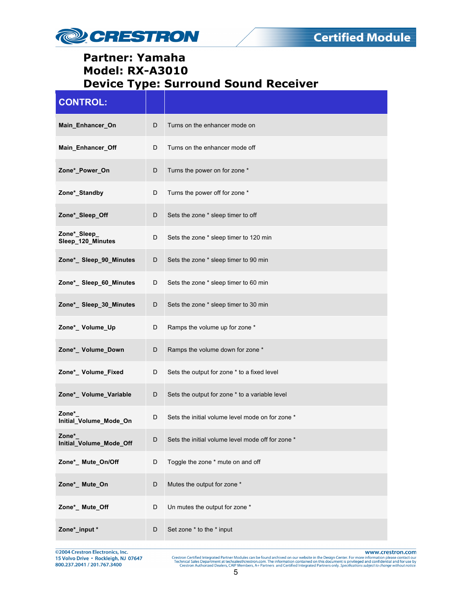

| <b>CONTROL:</b>                   |   |                                                   |
|-----------------------------------|---|---------------------------------------------------|
| Main_Enhancer_On                  | D | Turns on the enhancer mode on                     |
| Main_Enhancer_Off                 | D | Turns on the enhancer mode off                    |
| Zone*_Power_On                    | D | Turns the power on for zone *                     |
| Zone* Standby                     | D | Turns the power off for zone *                    |
| Zone*_Sleep_Off                   | D | Sets the zone * sleep timer to off                |
| Zone*_Sleep_<br>Sleep_120_Minutes | D | Sets the zone * sleep timer to 120 min            |
| Zone*_ Sleep_90_Minutes           | D | Sets the zone * sleep timer to 90 min             |
| Zone*_ Sleep_60_Minutes           | D | Sets the zone * sleep timer to 60 min             |
| Zone*_Sleep_30_Minutes            | D | Sets the zone * sleep timer to 30 min             |
| Zone*_ Volume_Up                  | D | Ramps the volume up for zone *                    |
| Zone*_ Volume_Down                | D | Ramps the volume down for zone *                  |
| Zone*_ Volume_Fixed               | D | Sets the output for zone * to a fixed level       |
| Zone*_ Volume_Variable            | D | Sets the output for zone * to a variable level    |
| Zone*<br>Initial_Volume_Mode_On   | D | Sets the initial volume level mode on for zone *  |
| Zone*<br>Initial_Volume_Mode_Off  |   | Sets the initial volume level mode off for zone * |
| Zone*_ Mute_On/Off                | D | Toggle the zone * mute on and off                 |
| Zone*_ Mute_On                    | D | Mutes the output for zone *                       |
| Zone*_ Mute_Off                   | D | Un mutes the output for zone *                    |
| Zone*_input *                     | D | Set zone * to the * input                         |

@2004 Crestron Electronics, Inc.<br>15 Volvo Drive • Rockleigh, NJ 07647<br>800.237.2041 / 201.767.3400

www.crestron.com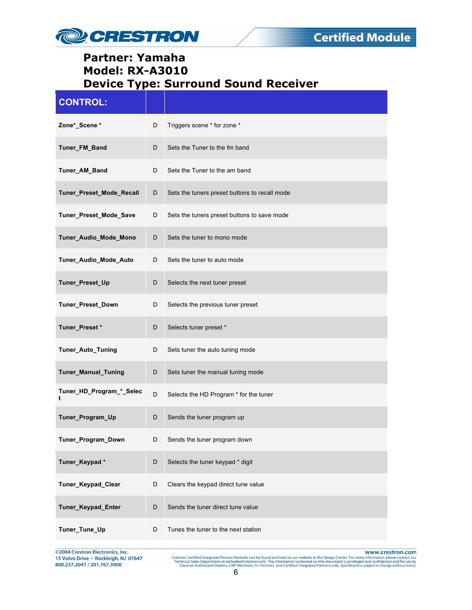

| <b>CONTROL:</b>               |   |                                               |
|-------------------------------|---|-----------------------------------------------|
| Zone*_Scene *                 | D | Triggers scene * for zone *                   |
| Tuner_FM_Band                 | D | Sets the Tuner to the fm band                 |
| Tuner_AM_Band                 | D | Sets the Tuner to the am band                 |
| Tuner_Preset_Mode_Recall      | D | Sets the tuners preset buttons to recall mode |
| Tuner_Preset_Mode_Save        | D | Sets the tuners preset buttons to save mode   |
| Tuner_Audio_Mode_Mono         | D | Sets the tuner to mono mode                   |
| Tuner Audio Mode Auto         | D | Sets the tuner to auto mode                   |
| Tuner_Preset_Up               | D | Selects the next tuner preset                 |
| Tuner_Preset_Down             | D | Selects the previous tuner preset             |
| Tuner_Preset*                 | D | Selects tuner preset *                        |
| Tuner_Auto_Tuning             | D | Sets tuner the auto tuning mode               |
| Tuner_Manual_Tuning           | D | Sets tuner the manual tuning mode             |
| Tuner_HD_Program_*_Selec<br>t | D | Selects the HD Program * for the tuner        |
| Tuner_Program_Up              | D | Sends the tuner program up                    |
| Tuner_Program_Down            | D | Sends the tuner program down                  |
| Tuner_Keypad*                 | D | Selects the tuner keypad * digit              |
| Tuner_Keypad_Clear            | D | Clears the keypad direct tune value           |
| Tuner_Keypad_Enter            | D | Sends the tuner direct tune value             |
| Tuner_Tune_Up                 | D | Tunes the tuner to the next station           |

©2004 Crestron Electronics, Inc.<br>15 Volvo Drive • Rockleigh, NJ 07647<br>800.237.2041 / 201.767.3400

www.crestron.com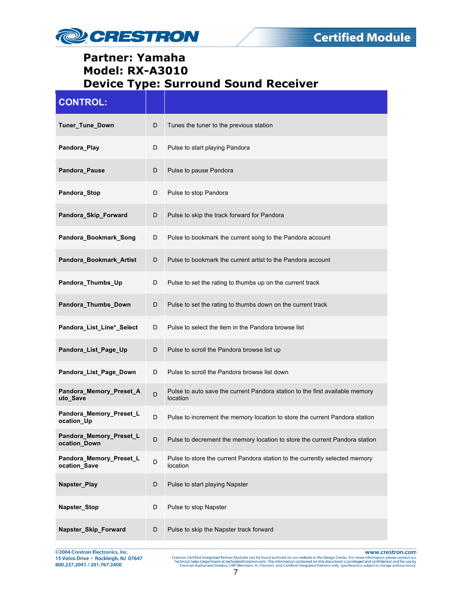

| <b>CONTROL:</b>                         |   |                                                                                          |
|-----------------------------------------|---|------------------------------------------------------------------------------------------|
| Tuner_Tune_Down                         | D | Tunes the tuner to the previous station                                                  |
| Pandora_Play                            | D | Pulse to start playing Pandora                                                           |
| Pandora_Pause                           | D | Pulse to pause Pandora                                                                   |
| Pandora Stop                            | D | Pulse to stop Pandora                                                                    |
| Pandora_Skip_Forward                    | D | Pulse to skip the track forward for Pandora                                              |
| Pandora_Bookmark_Song                   | D | Pulse to bookmark the current song to the Pandora account                                |
| Pandora_Bookmark_Artist                 | D | Pulse to bookmark the current artist to the Pandora account                              |
| Pandora_Thumbs_Up                       | D | Pulse to set the rating to thumbs up on the current track                                |
| Pandora_Thumbs_Down                     | D | Pulse to set the rating to thumbs down on the current track                              |
| Pandora_List_Line*_Select               | D | Pulse to select the item in the Pandora browse list                                      |
| Pandora_List_Page_Up                    | D | Pulse to scroll the Pandora browse list up                                               |
| Pandora_List_Page_Down                  | D | Pulse to scroll the Pandora browse list down                                             |
| Pandora_Memory_Preset_A<br>uto_Save     | D | Pulse to auto save the current Pandora station to the first available memory<br>location |
| Pandora_Memory_Preset_L<br>ocation_Up   | D | Pulse to increment the memory location to store the current Pandora station              |
| Pandora_Memory_Preset_L<br>ocation_Down | D | Pulse to decrement the memory location to store the current Pandora station              |
| Pandora Memory Preset L<br>ocation Save | D | Pulse to store the current Pandora station to the currently selected memory<br>location  |
| Napster_Play                            | D | Pulse to start playing Napster                                                           |
| Napster_Stop                            | D | Pulse to stop Napster                                                                    |
| Napster_Skip_Forward                    | D | Pulse to skip the Napster track forward                                                  |

@2004 Crestron Electronics, Inc. 15 Volvo Drive · Rockleigh, NJ 07647 800.237.2041 / 201.767.3400

www.crestron.com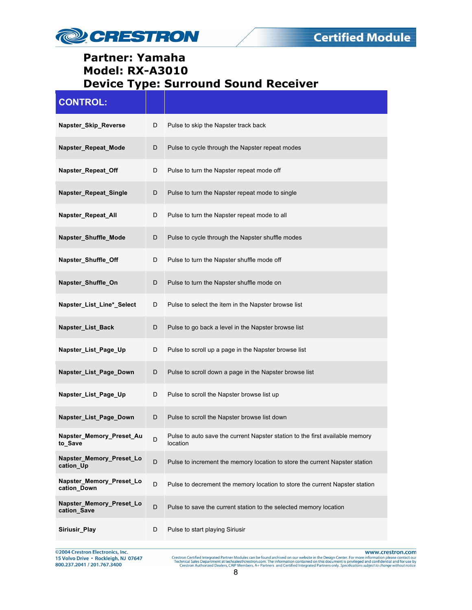

| <b>CONTROL:</b>                         |   |                                                                                          |
|-----------------------------------------|---|------------------------------------------------------------------------------------------|
| Napster_Skip_Reverse                    | D | Pulse to skip the Napster track back                                                     |
| Napster_Repeat_Mode                     | D | Pulse to cycle through the Napster repeat modes                                          |
| Napster_Repeat_Off                      | D | Pulse to turn the Napster repeat mode off                                                |
| Napster_Repeat_Single                   | D | Pulse to turn the Napster repeat mode to single                                          |
| Napster_Repeat_All                      | D | Pulse to turn the Napster repeat mode to all                                             |
| Napster_Shuffle_Mode                    | D | Pulse to cycle through the Napster shuffle modes                                         |
| Napster_Shuffle_Off                     | D | Pulse to turn the Napster shuffle mode off                                               |
| Napster_Shuffle_On                      | D | Pulse to turn the Napster shuffle mode on                                                |
| Napster_List_Line*_Select               | D | Pulse to select the item in the Napster browse list                                      |
| Napster_List_Back                       | D | Pulse to go back a level in the Napster browse list                                      |
| Napster_List_Page_Up                    | D | Pulse to scroll up a page in the Napster browse list                                     |
| Napster_List_Page_Down                  | D | Pulse to scroll down a page in the Napster browse list                                   |
| Napster_List_Page_Up                    | D | Pulse to scroll the Napster browse list up                                               |
| Napster_List_Page_Down                  | D | Pulse to scroll the Napster browse list down                                             |
| Napster_Memory_Preset_Au<br>to_Save     | D | Pulse to auto save the current Napster station to the first available memory<br>location |
| Napster_Memory_Preset_Lo<br>cation_Up   | D | Pulse to increment the memory location to store the current Napster station              |
| Napster_Memory_Preset_Lo<br>cation Down | D | Pulse to decrement the memory location to store the current Napster station              |
| Napster_Memory_Preset_Lo<br>cation_Save | D | Pulse to save the current station to the selected memory location                        |
| Siriusir Play                           | D | Pulse to start playing Siriusir                                                          |

@2004 Crestron Electronics, Inc.<br>15 Volvo Drive • Rockleigh, NJ 07647<br>800.237.2041 / 201.767.3400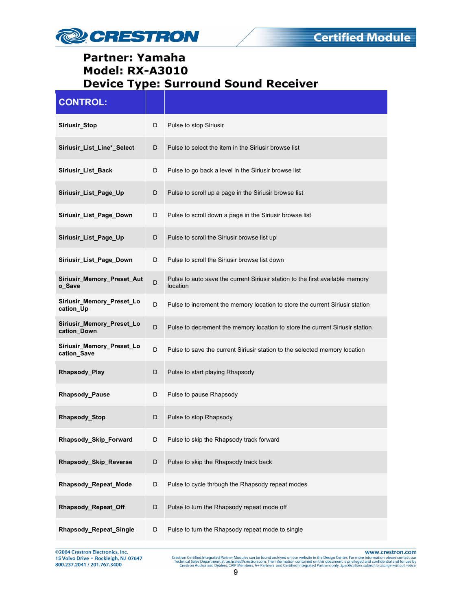

| <b>CONTROL:</b>                             |   |                                                                                           |
|---------------------------------------------|---|-------------------------------------------------------------------------------------------|
| Siriusir_Stop                               | D | Pulse to stop Siriusir                                                                    |
| Siriusir_List_Line*_Select                  | D | Pulse to select the item in the Siriusir browse list                                      |
| Siriusir_List_Back                          | D | Pulse to go back a level in the Siriusir browse list                                      |
| Siriusir_List_Page_Up                       | D | Pulse to scroll up a page in the Siriusir browse list                                     |
| Siriusir_List_Page_Down                     | D | Pulse to scroll down a page in the Siriusir browse list                                   |
| Siriusir_List_Page_Up                       | D | Pulse to scroll the Siriusir browse list up                                               |
| Siriusir_List_Page_Down                     | D | Pulse to scroll the Siriusir browse list down                                             |
| <b>Siriusir Memory Preset Aut</b><br>o_Save | D | Pulse to auto save the current Siriusir station to the first available memory<br>location |
| Siriusir_Memory_Preset_Lo<br>cation Up      | D | Pulse to increment the memory location to store the current Siriusir station              |
| Siriusir_Memory_Preset_Lo<br>cation_Down    | D | Pulse to decrement the memory location to store the current Siriusir station              |
| Siriusir_Memory_Preset_Lo<br>cation_Save    | D | Pulse to save the current Siriusir station to the selected memory location                |
| Rhapsody_Play                               | D | Pulse to start playing Rhapsody                                                           |
| <b>Rhapsody_Pause</b>                       | D | Pulse to pause Rhapsody                                                                   |
| Rhapsody_Stop                               | D | Pulse to stop Rhapsody                                                                    |
| Rhapsody_Skip_Forward                       | D | Pulse to skip the Rhapsody track forward                                                  |
| Rhapsody_Skip_Reverse                       | D | Pulse to skip the Rhapsody track back                                                     |
| Rhapsody_Repeat_Mode                        | D | Pulse to cycle through the Rhapsody repeat modes                                          |
| Rhapsody_Repeat_Off                         | D | Pulse to turn the Rhapsody repeat mode off                                                |
| Rhapsody_Repeat_Single                      | D | Pulse to turn the Rhapsody repeat mode to single                                          |

@2004 Crestron Electronics, Inc.<br>15 Volvo Drive • Rockleigh, NJ 07647<br>800.237.2041 / 201.767.3400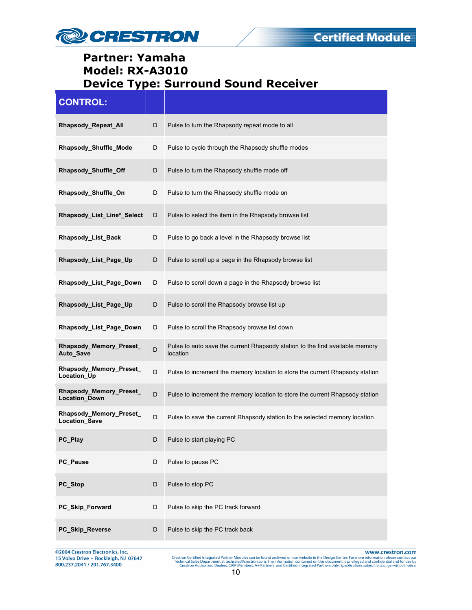

| <b>CONTROL:</b>                          |             |                                                                                           |
|------------------------------------------|-------------|-------------------------------------------------------------------------------------------|
| Rhapsody_Repeat_All                      | D           | Pulse to turn the Rhapsody repeat mode to all                                             |
| Rhapsody_Shuffle_Mode                    | D           | Pulse to cycle through the Rhapsody shuffle modes                                         |
| Rhapsody_Shuffle_Off                     | D           | Pulse to turn the Rhapsody shuffle mode off                                               |
| Rhapsody_Shuffle_On                      | D           | Pulse to turn the Rhapsody shuffle mode on                                                |
| Rhapsody_List_Line*_Select               | D           | Pulse to select the item in the Rhapsody browse list                                      |
| Rhapsody_List_Back                       | D           | Pulse to go back a level in the Rhapsody browse list                                      |
| Rhapsody_List_Page_Up                    | D           | Pulse to scroll up a page in the Rhapsody browse list                                     |
| Rhapsody List Page Down                  | D           | Pulse to scroll down a page in the Rhapsody browse list                                   |
| Rhapsody_List_Page_Up                    | D           | Pulse to scroll the Rhapsody browse list up                                               |
| Rhapsody_List_Page_Down                  | D           | Pulse to scroll the Rhapsody browse list down                                             |
| Rhapsody_Memory_Preset_<br>Auto_Save     | D           | Pulse to auto save the current Rhapsody station to the first available memory<br>location |
| Rhapsody_Memory_Preset_<br>Location_Up   | D           | Pulse to increment the memory location to store the current Rhapsody station              |
| Rhapsody_Memory_Preset_<br>Location_Down | D           | Pulse to increment the memory location to store the current Rhapsody station              |
| Rhapsody_Memory_Preset_<br>Location_Save | $\mathsf D$ | Pulse to save the current Rhapsody station to the selected memory location                |
| PC_Play                                  | D           | Pulse to start playing PC                                                                 |
| PC_Pause                                 | D           | Pulse to pause PC                                                                         |
| PC_Stop                                  | D           | Pulse to stop PC                                                                          |
| PC_Skip_Forward                          | D           | Pulse to skip the PC track forward                                                        |
| PC_Skip_Reverse                          | D           | Pulse to skip the PC track back                                                           |

@2004 Crestron Electronics, Inc.<br>15 Volvo Drive • Rockleigh, NJ 07647 800.237.2041 / 201.767.3400

www.crestron.com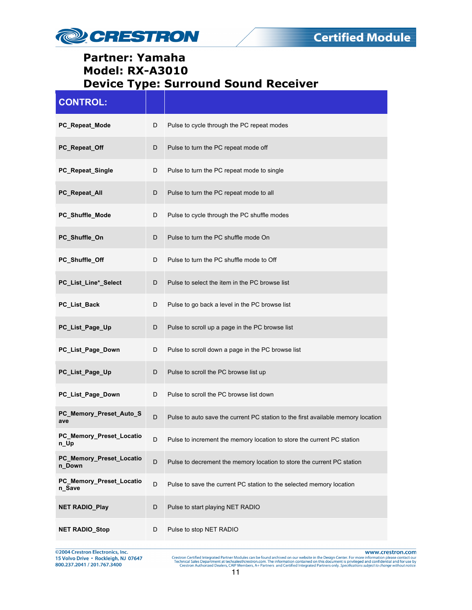

| <b>CONTROL:</b>                    |   |                                                                                  |
|------------------------------------|---|----------------------------------------------------------------------------------|
| PC_Repeat_Mode                     | D | Pulse to cycle through the PC repeat modes                                       |
| PC_Repeat_Off                      | D | Pulse to turn the PC repeat mode off                                             |
| PC_Repeat_Single                   | D | Pulse to turn the PC repeat mode to single                                       |
| PC_Repeat_All                      | D | Pulse to turn the PC repeat mode to all                                          |
| PC_Shuffle_Mode                    | D | Pulse to cycle through the PC shuffle modes                                      |
| PC_Shuffle_On                      | D | Pulse to turn the PC shuffle mode On                                             |
| PC_Shuffle_Off                     | D | Pulse to turn the PC shuffle mode to Off                                         |
| PC_List_Line*_Select               | D | Pulse to select the item in the PC browse list                                   |
| PC_List_Back                       | D | Pulse to go back a level in the PC browse list                                   |
| PC_List_Page_Up                    | D | Pulse to scroll up a page in the PC browse list                                  |
| PC_List_Page_Down                  | D | Pulse to scroll down a page in the PC browse list                                |
| PC_List_Page_Up                    | D | Pulse to scroll the PC browse list up                                            |
| PC_List_Page_Down                  | D | Pulse to scroll the PC browse list down                                          |
| PC_Memory_Preset_Auto_S<br>ave     | D | Pulse to auto save the current PC station to the first available memory location |
| PC_Memory_Preset_Locatio<br>n_Up   | D | Pulse to increment the memory location to store the current PC station           |
| PC_Memory_Preset_Locatio<br>n_Down | D | Pulse to decrement the memory location to store the current PC station           |
| PC_Memory_Preset_Locatio<br>n_Save | D | Pulse to save the current PC station to the selected memory location             |
| <b>NET RADIO_Play</b>              | D | Pulse to start playing NET RADIO                                                 |
| <b>NET RADIO_Stop</b>              | D | Pulse to stop NET RADIO                                                          |

@2004 Crestron Electronics, Inc.<br>15 Volvo Drive • Rockleigh, NJ 07647<br>800.237.2041 / 201.767.3400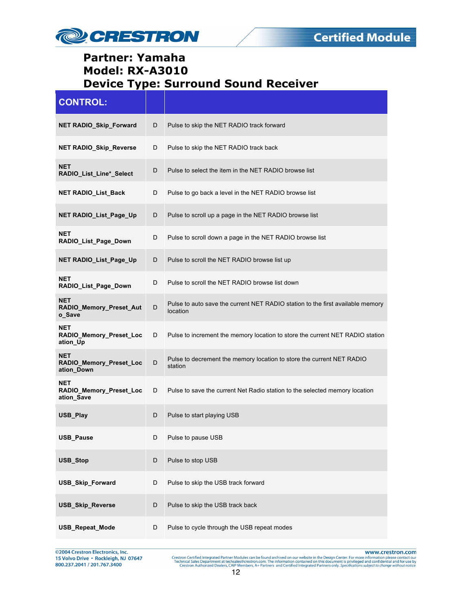

| <b>CONTROL:</b>                                     |   |                                                                                            |
|-----------------------------------------------------|---|--------------------------------------------------------------------------------------------|
| <b>NET RADIO_Skip_Forward</b>                       | D | Pulse to skip the NET RADIO track forward                                                  |
| <b>NET RADIO Skip Reverse</b>                       | D | Pulse to skip the NET RADIO track back                                                     |
| <b>NET</b><br>RADIO_List_Line*_Select               | D | Pulse to select the item in the NET RADIO browse list                                      |
| <b>NET RADIO List Back</b>                          | D | Pulse to go back a level in the NET RADIO browse list                                      |
| NET RADIO_List_Page_Up                              | D | Pulse to scroll up a page in the NET RADIO browse list                                     |
| <b>NET</b><br>RADIO List Page Down                  | D | Pulse to scroll down a page in the NET RADIO browse list                                   |
| NET RADIO_List_Page_Up                              | D | Pulse to scroll the NET RADIO browse list up                                               |
| <b>NET</b><br>RADIO_List_Page_Down                  | D | Pulse to scroll the NET RADIO browse list down                                             |
| <b>NET</b><br>RADIO_Memory_Preset_Aut<br>o Save     | D | Pulse to auto save the current NET RADIO station to the first available memory<br>location |
| NET<br>RADIO_Memory_Preset_Loc<br>ation_Up          | D | Pulse to increment the memory location to store the current NET RADIO station              |
| <b>NET</b><br>RADIO_Memory_Preset_Loc<br>ation_Down | D | Pulse to decrement the memory location to store the current NET RADIO<br>station           |
| <b>NET</b><br>RADIO_Memory_Preset_Loc<br>ation_Save | D | Pulse to save the current Net Radio station to the selected memory location                |
| USB_Play                                            | D | Pulse to start playing USB                                                                 |
| <b>USB Pause</b>                                    | D | Pulse to pause USB                                                                         |
| USB_Stop                                            | D | Pulse to stop USB                                                                          |
| <b>USB_Skip_Forward</b>                             | D | Pulse to skip the USB track forward                                                        |
| <b>USB_Skip_Reverse</b>                             | D | Pulse to skip the USB track back                                                           |
| <b>USB_Repeat_Mode</b>                              | D | Pulse to cycle through the USB repeat modes                                                |

@2004 Crestron Electronics, Inc.<br>15 Volvo Drive • Rockleigh, NJ 07647<br>800.237.2041 / 201.767.3400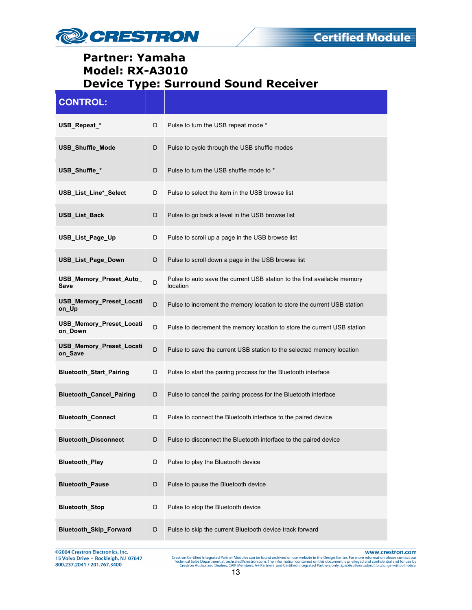

| <b>CONTROL:</b>                     |   |                                                                                      |
|-------------------------------------|---|--------------------------------------------------------------------------------------|
| USB_Repeat_*                        | D | Pulse to turn the USB repeat mode *                                                  |
| USB_Shuffle_Mode                    | D | Pulse to cycle through the USB shuffle modes                                         |
| USB_Shuffle_*                       | D | Pulse to turn the USB shuffle mode to *                                              |
| USB_List_Line*_Select               | D | Pulse to select the item in the USB browse list                                      |
| <b>USB List Back</b>                | D | Pulse to go back a level in the USB browse list                                      |
| USB_List_Page_Up                    | D | Pulse to scroll up a page in the USB browse list                                     |
| <b>USB List Page Down</b>           | D | Pulse to scroll down a page in the USB browse list                                   |
| USB_Memory_Preset_Auto_<br>Save     | D | Pulse to auto save the current USB station to the first available memory<br>location |
| USB_Memory_Preset_Locati<br>on_Up   | D | Pulse to increment the memory location to store the current USB station              |
| USB_Memory_Preset_Locati<br>on Down | D | Pulse to decrement the memory location to store the current USB station              |
| USB_Memory_Preset_Locati<br>on_Save | D | Pulse to save the current USB station to the selected memory location                |
| <b>Bluetooth_Start_Pairing</b>      | D | Pulse to start the pairing process for the Bluetooth interface                       |
| Bluetooth_Cancel_Pairing            | D | Pulse to cancel the pairing process for the Bluetooth interface                      |
| <b>Bluetooth_Connect</b>            | D | Pulse to connect the Bluetooth interface to the paired device                        |
| <b>Bluetooth_Disconnect</b>         | D | Pulse to disconnect the Bluetooth interface to the paired device                     |
| <b>Bluetooth_Play</b>               | D | Pulse to play the Bluetooth device                                                   |
| <b>Bluetooth_Pause</b>              | D | Pulse to pause the Bluetooth device                                                  |
| <b>Bluetooth_Stop</b>               | D | Pulse to stop the Bluetooth device                                                   |
| Bluetooth_Skip_Forward              | D | Pulse to skip the current Bluetooth device track forward                             |

©2004 Crestron Electronics, Inc.<br>15 Volvo Drive • Rockleigh, NJ 07647<br>800.237.2041 / 201.767.3400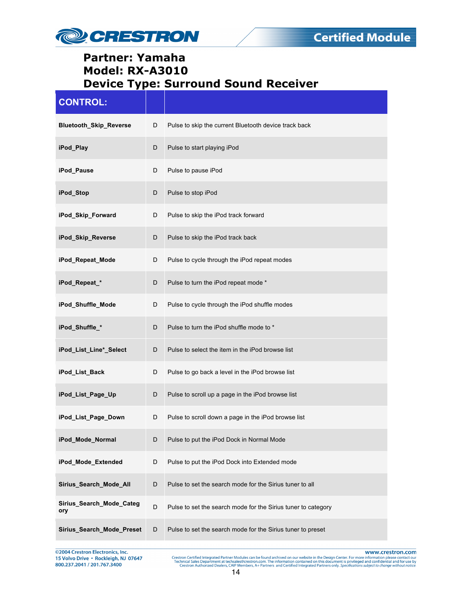

| <b>CONTROL:</b>                 |   |                                                               |
|---------------------------------|---|---------------------------------------------------------------|
| <b>Bluetooth Skip Reverse</b>   | D | Pulse to skip the current Bluetooth device track back         |
| iPod_Play                       | D | Pulse to start playing iPod                                   |
| iPod_Pause                      | D | Pulse to pause iPod                                           |
| iPod_Stop                       | D | Pulse to stop iPod                                            |
| iPod_Skip_Forward               | D | Pulse to skip the iPod track forward                          |
| iPod_Skip_Reverse               | D | Pulse to skip the iPod track back                             |
| iPod Repeat Mode                | D | Pulse to cycle through the iPod repeat modes                  |
| iPod_Repeat_*                   | D | Pulse to turn the iPod repeat mode *                          |
| iPod_Shuffle_Mode               | D | Pulse to cycle through the iPod shuffle modes                 |
| iPod_Shuffle_*                  | D | Pulse to turn the iPod shuffle mode to *                      |
| iPod_List_Line*_Select          | D | Pulse to select the item in the iPod browse list              |
| iPod_List_Back                  | D | Pulse to go back a level in the iPod browse list              |
| iPod_List_Page_Up               | D | Pulse to scroll up a page in the iPod browse list             |
| iPod_List_Page_Down             | D | Pulse to scroll down a page in the iPod browse list           |
| iPod Mode Normal                | D | Pulse to put the iPod Dock in Normal Mode                     |
| iPod_Mode_Extended              | D | Pulse to put the iPod Dock into Extended mode                 |
| Sirius_Search_Mode_All          | D | Pulse to set the search mode for the Sirius tuner to all      |
| Sirius_Search_Mode_Categ<br>ory | D | Pulse to set the search mode for the Sirius tuner to category |
| Sirius_Search_Mode_Preset       | D | Pulse to set the search mode for the Sirius tuner to preset   |

@2004 Crestron Electronics, Inc. 15 Volvo Drive • Rockleigh, NJ 07647<br>800.237.2041 / 201.767.3400 www.crestron.com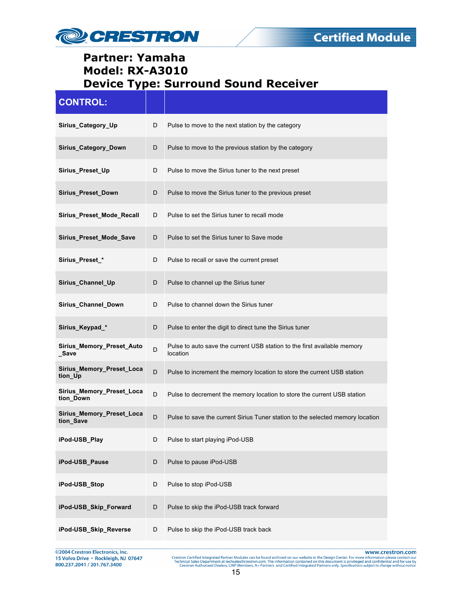

| <b>CONTROL:</b>                        |   |                                                                                      |
|----------------------------------------|---|--------------------------------------------------------------------------------------|
| Sirius Category Up                     | D | Pulse to move to the next station by the category                                    |
| Sirius_Category_Down                   | D | Pulse to move to the previous station by the category                                |
| Sirius_Preset_Up                       | D | Pulse to move the Sirius tuner to the next preset                                    |
| Sirius_Preset_Down                     | D | Pulse to move the Sirius tuner to the previous preset                                |
| Sirius_Preset_Mode_Recall              | D | Pulse to set the Sirius tuner to recall mode                                         |
| Sirius_Preset_Mode_Save                | D | Pulse to set the Sirius tuner to Save mode                                           |
| Sirius Preset *                        | D | Pulse to recall or save the current preset                                           |
| Sirius_Channel_Up                      | D | Pulse to channel up the Sirius tuner                                                 |
| Sirius_Channel_Down                    | D | Pulse to channel down the Sirius tuner                                               |
| Sirius_Keypad_*                        | D | Pulse to enter the digit to direct tune the Sirius tuner                             |
| Sirius_Memory_Preset_Auto<br>_Save     | D | Pulse to auto save the current USB station to the first available memory<br>location |
| Sirius_Memory_Preset_Loca<br>tion_Up   | D | Pulse to increment the memory location to store the current USB station              |
| Sirius_Memory_Preset_Loca<br>tion_Down | D | Pulse to decrement the memory location to store the current USB station              |
| Sirius Memory Preset Loca<br>tion_Save | D | Pulse to save the current Sirius Tuner station to the selected memory location       |
| iPod-USB_Play                          | D | Pulse to start playing iPod-USB                                                      |
| iPod-USB_Pause                         | D | Pulse to pause iPod-USB                                                              |
| iPod-USB Stop                          | D | Pulse to stop iPod-USB                                                               |
| iPod-USB_Skip_Forward                  | D | Pulse to skip the iPod-USB track forward                                             |
| iPod-USB_Skip_Reverse                  | D | Pulse to skip the iPod-USB track back                                                |

©2004 Crestron Electronics, Inc.<br>15 Volvo Drive • Rockleigh, NJ 07647<br>800.237.2041 / 201.767.3400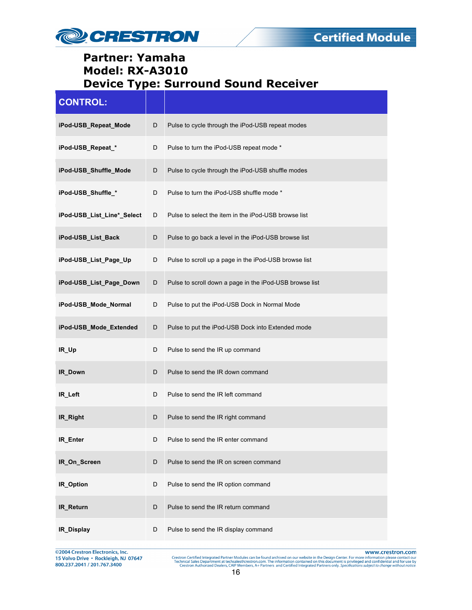

| <b>CONTROL:</b>            |   |                                                         |
|----------------------------|---|---------------------------------------------------------|
| iPod-USB_Repeat_Mode       | D | Pulse to cycle through the iPod-USB repeat modes        |
| iPod-USB_Repeat_*          | D | Pulse to turn the iPod-USB repeat mode *                |
| iPod-USB_Shuffle_Mode      | D | Pulse to cycle through the iPod-USB shuffle modes       |
| iPod-USB_Shuffle_*         | D | Pulse to turn the iPod-USB shuffle mode *               |
| iPod-USB_List_Line*_Select | D | Pulse to select the item in the iPod-USB browse list    |
| iPod-USB_List_Back         | D | Pulse to go back a level in the iPod-USB browse list    |
| iPod-USB_List_Page_Up      | D | Pulse to scroll up a page in the iPod-USB browse list   |
| iPod-USB_List_Page_Down    | D | Pulse to scroll down a page in the iPod-USB browse list |
| iPod-USB_Mode_Normal       | D | Pulse to put the iPod-USB Dock in Normal Mode           |
| iPod-USB_Mode_Extended     | D | Pulse to put the iPod-USB Dock into Extended mode       |
| IR_Up                      | D | Pulse to send the IR up command                         |
| IR_Down                    | D | Pulse to send the IR down command                       |
| IR Left                    | D | Pulse to send the IR left command                       |
| IR_Right                   | D | Pulse to send the IR right command                      |
| IR_Enter                   | D | Pulse to send the IR enter command                      |
| IR_On_Screen               | D | Pulse to send the IR on screen command                  |
| IR_Option                  | D | Pulse to send the IR option command                     |
| IR_Return                  | D | Pulse to send the IR return command                     |
| IR_Display                 | D | Pulse to send the IR display command                    |

@2004 Crestron Electronics, Inc.<br>15 Volvo Drive • Rockleigh, NJ 07647<br>800.237.2041 / 201.767.3400

www.crestron.com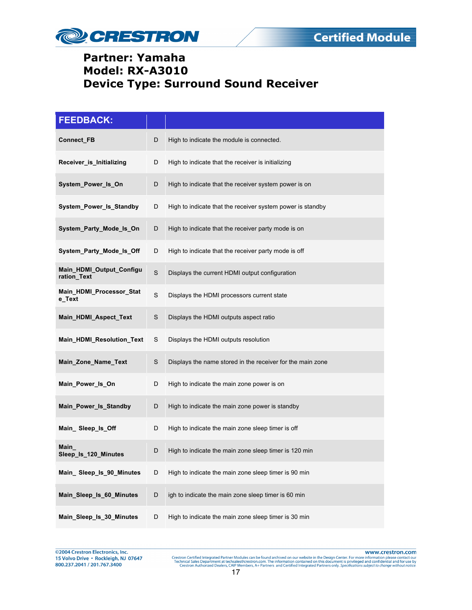

| <b>FEEDBACK:</b>                        |             |                                                            |
|-----------------------------------------|-------------|------------------------------------------------------------|
| Connect_FB                              | D           | High to indicate the module is connected.                  |
| Receiver_is_Initializing                | D           | High to indicate that the receiver is initializing         |
| System_Power_Is_On                      | D           | High to indicate that the receiver system power is on      |
| System_Power_Is_Standby                 | D           | High to indicate that the receiver system power is standby |
| System_Party_Mode_Is_On                 | D           | High to indicate that the receiver party mode is on        |
| System_Party_Mode_Is_Off                | D           | High to indicate that the receiver party mode is off       |
| Main_HDMI_Output_Configu<br>ration_Text | $\mathbf S$ | Displays the current HDMI output configuration             |
| Main_HDMI_Processor_Stat<br>e_Text      | S           | Displays the HDMI processors current state                 |
| Main HDMI Aspect Text                   | S           | Displays the HDMI outputs aspect ratio                     |
| Main_HDMI_Resolution_Text               | S           | Displays the HDMI outputs resolution                       |
| Main_Zone_Name_Text                     | S           | Displays the name stored in the receiver for the main zone |
| Main_Power_Is_On                        | D           | High to indicate the main zone power is on                 |
| Main_Power_Is_Standby                   | D           | High to indicate the main zone power is standby            |
| Main_Sleep_ls_Off                       | D           | High to indicate the main zone sleep timer is off          |
| Main_<br>Sleep_Is_120_Minutes           | D           | High to indicate the main zone sleep timer is 120 min      |
| Main_Sleep_ls_90_Minutes                | D           | High to indicate the main zone sleep timer is 90 min       |
| Main_Sleep_Is_60_Minutes                | D           | igh to indicate the main zone sleep timer is 60 min        |
| Main_Sleep_Is_30_Minutes                | D           | High to indicate the main zone sleep timer is 30 min       |

@2004 Crestron Electronics, Inc. 15 Volvo Drive · Rockleigh, NJ 07647 800.237.2041 / 201.767.3400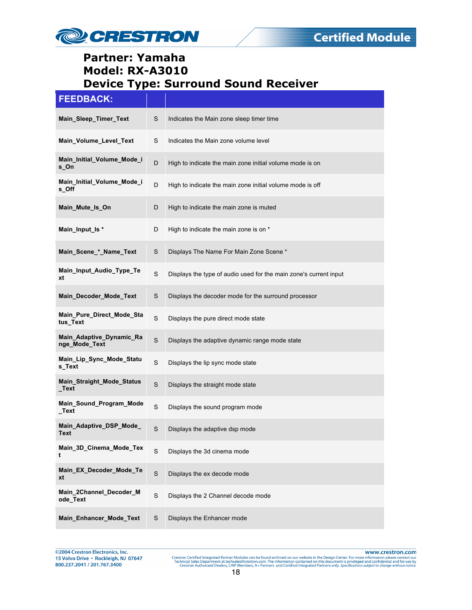

# **FEEDBACK:**

| _______                                   |             |                                                                   |
|-------------------------------------------|-------------|-------------------------------------------------------------------|
| Main_Sleep_Timer_Text                     | S           | Indicates the Main zone sleep timer time                          |
| Main_Volume_Level_Text                    | S           | Indicates the Main zone volume level                              |
| Main Initial Volume Mode i<br>s_On        | D           | High to indicate the main zone initial volume mode is on          |
| Main_Initial_Volume_Mode_i<br>s_Off       | D           | High to indicate the main zone initial volume mode is off         |
| Main_Mute_Is_On                           | D           | High to indicate the main zone is muted                           |
| Main_Input_Is *                           | D           | High to indicate the main zone is on *                            |
| Main_Scene_*_Name_Text                    | S           | Displays The Name For Main Zone Scene *                           |
| Main_Input_Audio_Type_Te<br>xt            | $\mathbf S$ | Displays the type of audio used for the main zone's current input |
| Main_Decoder_Mode_Text                    | S           | Displays the decoder mode for the surround processor              |
| Main_Pure_Direct_Mode_Sta<br>tus_Text     | S           | Displays the pure direct mode state                               |
| Main_Adaptive_Dynamic_Ra<br>nge_Mode_Text | S           | Displays the adaptive dynamic range mode state                    |
| Main_Lip_Sync_Mode_Statu<br>s_Text        | S           | Displays the lip sync mode state                                  |
| Main_Straight_Mode_Status<br>_Text        | S           | Displays the straight mode state                                  |
| Main_Sound_Program_Mode<br>$\_Text$       | $\mathbf S$ | Displays the sound program mode                                   |
| Main_Adaptive_DSP_Mode_<br>Text           | S           | Displays the adaptive dsp mode                                    |
| Main_3D_Cinema_Mode_Tex<br>t              | S           | Displays the 3d cinema mode                                       |
| Main_EX_Decoder_Mode_Te<br>xt             | $\mathbf S$ | Displays the ex decode mode                                       |
| Main_2Channel_Decoder_M<br>ode Text       | $\mathbf S$ | Displays the 2 Channel decode mode                                |
| Main_Enhancer_Mode_Text                   | $\mathbb S$ | Displays the Enhancer mode                                        |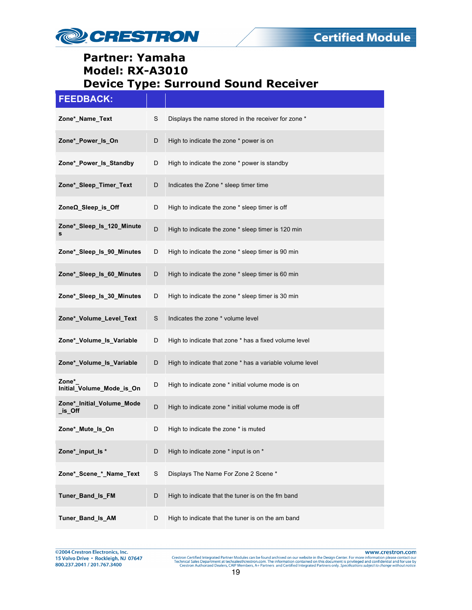

| <b>FEEDBACK:</b>                     |   |                                                          |
|--------------------------------------|---|----------------------------------------------------------|
| Zone* Name Text                      | S | Displays the name stored in the receiver for zone *      |
| Zone*_Power_Is_On                    | D | High to indicate the zone * power is on                  |
| Zone*_Power_Is_Standby               | D | High to indicate the zone * power is standby             |
| Zone*_Sleep_Timer_Text               | D | Indicates the Zone * sleep timer time                    |
| ZoneΩ_Sleep_is_Off                   | D | High to indicate the zone * sleep timer is off           |
| Zone*_Sleep_ls_120_Minute<br>s       | D | High to indicate the zone * sleep timer is 120 min       |
| Zone*_Sleep_Is_90_Minutes            | D | High to indicate the zone * sleep timer is 90 min        |
| Zone*_Sleep_ls_60_Minutes            | D | High to indicate the zone * sleep timer is 60 min        |
| Zone*_Sleep_ls_30_Minutes            | D | High to indicate the zone * sleep timer is 30 min        |
| Zone*_Volume_Level_Text              | S | Indicates the zone * volume level                        |
| Zone*_Volume_Is_Variable             | D | High to indicate that zone * has a fixed volume level    |
| Zone*_Volume_Is_Variable             | D | High to indicate that zone * has a variable volume level |
| Zone*<br>Initial_Volume_Mode_is_On   | D | High to indicate zone * initial volume mode is on        |
| Zone*_Initial_Volume_Mode<br>_is_Off | D | High to indicate zone * initial volume mode is off       |
| Zone*_Mute_Is_On                     | D | High to indicate the zone * is muted                     |
| Zone*_input_ls *                     | D | High to indicate zone * input is on *                    |
| Zone*_Scene_*_Name_Text              | S | Displays The Name For Zone 2 Scene *                     |
| Tuner_Band_Is_FM                     | D | High to indicate that the tuner is on the fm band        |
| Tuner_Band_Is_AM                     | D | High to indicate that the tuner is on the am band        |

@2004 Crestron Electronics, Inc.<br>15 Volvo Drive • Rockleigh, NJ 07647 800.237.2041 / 201.767.3400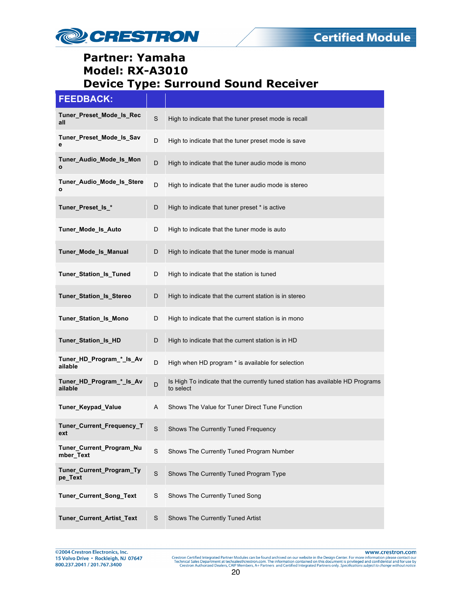

#### **FEEDBACK:**

| Tuner Preset Mode Is Rec<br>all         | S           | High to indicate that the tuner preset mode is recall                                       |
|-----------------------------------------|-------------|---------------------------------------------------------------------------------------------|
| Tuner_Preset_Mode_Is_Sav<br>е           | D           | High to indicate that the tuner preset mode is save                                         |
| Tuner_Audio_Mode_Is_Mon<br>$\mathbf{o}$ | D           | High to indicate that the tuner audio mode is mono                                          |
| Tuner_Audio_Mode_Is_Stere<br>o          | D           | High to indicate that the tuner audio mode is stereo                                        |
| Tuner Preset Is *                       | D           | High to indicate that tuner preset * is active                                              |
| Tuner_Mode_Is_Auto                      | D           | High to indicate that the tuner mode is auto                                                |
| <b>Tuner Mode Is Manual</b>             | D           | High to indicate that the tuner mode is manual                                              |
| Tuner_Station_Is_Tuned                  | D           | High to indicate that the station is tuned                                                  |
| Tuner_Station_Is_Stereo                 | D           | High to indicate that the current station is in stereo                                      |
| Tuner_Station_Is_Mono                   | D           | High to indicate that the current station is in mono                                        |
| Tuner_Station_Is_HD                     | D           | High to indicate that the current station is in HD                                          |
| Tuner_HD_Program_*_Is_Av<br>ailable     | D           | High when HD program * is available for selection                                           |
| Tuner_HD_Program_*_Is_Av<br>ailable     | D           | Is High To indicate that the currently tuned station has available HD Programs<br>to select |
| Tuner_Keypad_Value                      | Α           | Shows The Value for Tuner Direct Tune Function                                              |
| Tuner_Current_Frequency_T<br>ext        | $\mathbf S$ | Shows The Currently Tuned Frequency                                                         |
| Tuner_Current_Program_Nu<br>mber Text   | S           | Shows The Currently Tuned Program Number                                                    |
| Tuner_Current_Program_Ty<br>pe_Text     | $\mathbf S$ | Shows The Currently Tuned Program Type                                                      |
| Tuner_Current_Song_Text                 | S           | Shows The Currently Tuned Song                                                              |
| Tuner_Current_Artist_Text               | S           | Shows The Currently Tuned Artist                                                            |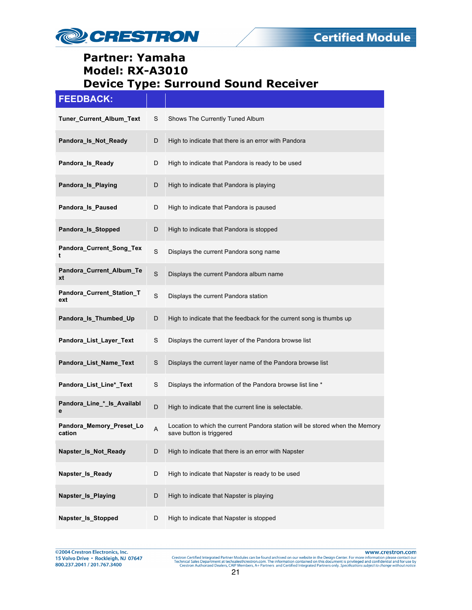

# **FEEDBACK:**

| Tuner_Current_Album_Text           | S           | Shows The Currently Tuned Album                                                                          |
|------------------------------------|-------------|----------------------------------------------------------------------------------------------------------|
| Pandora_Is_Not_Ready               | D           | High to indicate that there is an error with Pandora                                                     |
| Pandora_Is_Ready                   | D           | High to indicate that Pandora is ready to be used                                                        |
| Pandora_Is_Playing                 | D           | High to indicate that Pandora is playing                                                                 |
| Pandora_Is_Paused                  | D           | High to indicate that Pandora is paused                                                                  |
| Pandora_Is_Stopped                 | D           | High to indicate that Pandora is stopped                                                                 |
| Pandora_Current_Song_Tex<br>t      | $\mathbf S$ | Displays the current Pandora song name                                                                   |
| Pandora Current Album Te<br>xt     | $\mathbf S$ | Displays the current Pandora album name                                                                  |
| Pandora_Current_Station_T<br>ext   | S           | Displays the current Pandora station                                                                     |
| Pandora_Is_Thumbed_Up              | D           | High to indicate that the feedback for the current song is thumbs up                                     |
| Pandora_List_Layer_Text            | S           | Displays the current layer of the Pandora browse list                                                    |
| Pandora_List_Name_Text             | S           | Displays the current layer name of the Pandora browse list                                               |
| Pandora_List_Line*_Text            | S           | Displays the information of the Pandora browse list line *                                               |
| Pandora_Line_*_Is_Availabl<br>е    | D           | High to indicate that the current line is selectable.                                                    |
| Pandora_Memory_Preset_Lo<br>cation | A           | Location to which the current Pandora station will be stored when the Memory<br>save button is triggered |
| Napster_Is_Not_Ready               | D           | High to indicate that there is an error with Napster                                                     |
| Napster_Is_Ready                   | D           | High to indicate that Napster is ready to be used                                                        |
| Napster_Is_Playing                 | D           | High to indicate that Napster is playing                                                                 |
| Napster_Is_Stopped                 | D           | High to indicate that Napster is stopped                                                                 |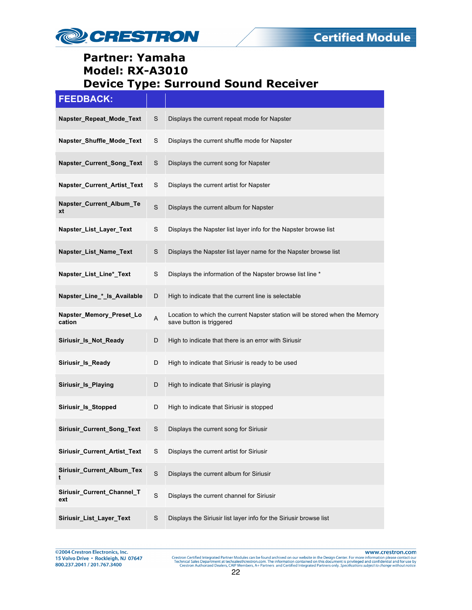

| <b>FEEDBACK:</b>                   |             |                                                                                                          |
|------------------------------------|-------------|----------------------------------------------------------------------------------------------------------|
| Napster_Repeat_Mode_Text           | S           | Displays the current repeat mode for Napster                                                             |
| Napster_Shuffle_Mode_Text          | S           | Displays the current shuffle mode for Napster                                                            |
| Napster_Current_Song_Text          | S           | Displays the current song for Napster                                                                    |
| Napster_Current_Artist_Text        | S           | Displays the current artist for Napster                                                                  |
| Napster_Current_Album_Te<br>xt     | S           | Displays the current album for Napster                                                                   |
| Napster_List_Layer_Text            | S           | Displays the Napster list layer info for the Napster browse list                                         |
| Napster_List_Name_Text             | S           | Displays the Napster list layer name for the Napster browse list                                         |
| Napster_List_Line*_Text            | S           | Displays the information of the Napster browse list line *                                               |
| Napster_Line_*_ls_Available        | D           | High to indicate that the current line is selectable                                                     |
| Napster_Memory_Preset_Lo<br>cation | A           | Location to which the current Napster station will be stored when the Memory<br>save button is triggered |
| Siriusir_Is_Not_Ready              | D           | High to indicate that there is an error with Siriusir                                                    |
| Siriusir_Is_Ready                  | D           | High to indicate that Siriusir is ready to be used                                                       |
| Siriusir_Is_Playing                | D           | High to indicate that Siriusir is playing                                                                |
| Siriusir_Is_Stopped                | D           | High to indicate that Siriusir is stopped                                                                |
| Siriusir_Current_Song_Text         | S           | Displays the current song for Siriusir                                                                   |
| Siriusir_Current_Artist_Text       | S           | Displays the current artist for Siriusir                                                                 |
| Siriusir_Current_Album_Tex<br>t    | $\mathbf S$ | Displays the current album for Siriusir                                                                  |
| Siriusir_Current_Channel_T<br>ext  | $\mathbf S$ | Displays the current channel for Siriusir                                                                |
| Siriusir_List_Layer_Text           | S           | Displays the Siriusir list layer info for the Siriusir browse list                                       |

@2004 Crestron Electronics, Inc.<br>15 Volvo Drive • Rockleigh, NJ 07647 800.237.2041 / 201.767.3400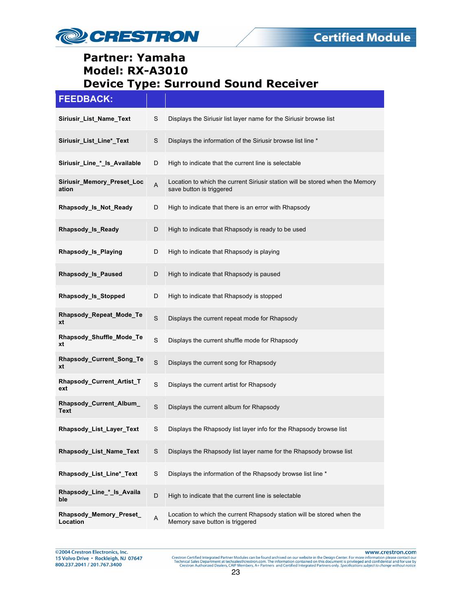

| <b>FEEDBACK:</b>                    |               |                                                                                                           |
|-------------------------------------|---------------|-----------------------------------------------------------------------------------------------------------|
| Siriusir_List_Name_Text             | S             | Displays the Siriusir list layer name for the Siriusir browse list                                        |
| Siriusir_List_Line*_Text            | S             | Displays the information of the Siriusir browse list line *                                               |
| Siriusir_Line_*_Is_Available        | D             | High to indicate that the current line is selectable                                                      |
| Siriusir_Memory_Preset_Loc<br>ation | A             | Location to which the current Siriusir station will be stored when the Memory<br>save button is triggered |
| Rhapsody_Is_Not_Ready               | D             | High to indicate that there is an error with Rhapsody                                                     |
| Rhapsody_Is_Ready                   | D             | High to indicate that Rhapsody is ready to be used                                                        |
| Rhapsody Is Playing                 | D             | High to indicate that Rhapsody is playing                                                                 |
| Rhapsody_Is_Paused                  | D             | High to indicate that Rhapsody is paused                                                                  |
| Rhapsody_Is_Stopped                 | D             | High to indicate that Rhapsody is stopped                                                                 |
| Rhapsody Repeat Mode Te<br>xt       | S             | Displays the current repeat mode for Rhapsody                                                             |
| Rhapsody_Shuffle_Mode_Te<br>xt      | S             | Displays the current shuffle mode for Rhapsody                                                            |
| Rhapsody_Current_Song_Te<br>xt      | S             | Displays the current song for Rhapsody                                                                    |
| Rhapsody_Current_Artist_T<br>ext    | S             | Displays the current artist for Rhapsody                                                                  |
| Rhapsody_Current_Album_<br>Text     | S             | Displays the current album for Rhapsody                                                                   |
| Rhapsody_List_Layer_Text            | S             | Displays the Rhapsody list layer info for the Rhapsody browse list                                        |
| Rhapsody List Name Text             | S             | Displays the Rhapsody list layer name for the Rhapsody browse list                                        |
| Rhapsody_List_Line*_Text            | ${\mathsf S}$ | Displays the information of the Rhapsody browse list line *                                               |
| Rhapsody_Line_*_Is_Availa<br>ble    | D             | High to indicate that the current line is selectable                                                      |
| Rhapsody_Memory_Preset_<br>Location | A             | Location to which the current Rhapsody station will be stored when the<br>Memory save button is triggered |

@2004 Crestron Electronics, Inc.<br>15 Volvo Drive • Rockleigh, NJ 07647 800.237.2041 / 201.767.3400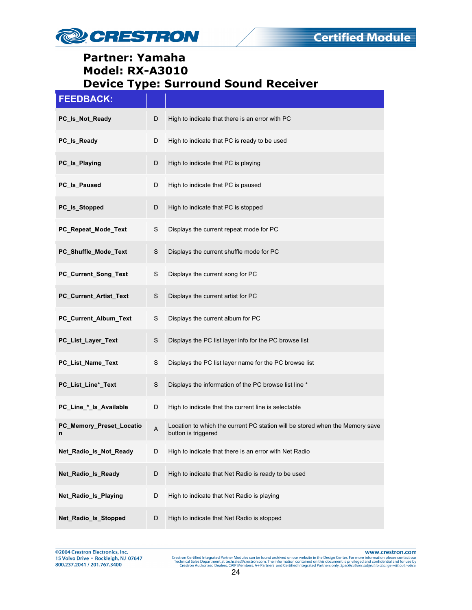

| <b>FEEDBACK:</b>              |   |                                                                                                     |
|-------------------------------|---|-----------------------------------------------------------------------------------------------------|
| PC_Is_Not_Ready               | D | High to indicate that there is an error with PC                                                     |
| PC_Is_Ready                   | D | High to indicate that PC is ready to be used                                                        |
| PC_Is_Playing                 | D | High to indicate that PC is playing                                                                 |
| PC_Is_Paused                  | D | High to indicate that PC is paused                                                                  |
| PC_ls_Stopped                 | D | High to indicate that PC is stopped                                                                 |
| PC_Repeat_Mode_Text           | S | Displays the current repeat mode for PC                                                             |
| PC_Shuffle_Mode_Text          | S | Displays the current shuffle mode for PC                                                            |
| PC_Current_Song_Text          | S | Displays the current song for PC                                                                    |
| PC_Current_Artist_Text        | S | Displays the current artist for PC                                                                  |
| PC_Current_Album_Text         | S | Displays the current album for PC                                                                   |
| PC_List_Layer_Text            | S | Displays the PC list layer info for the PC browse list                                              |
| PC_List_Name_Text             | S | Displays the PC list layer name for the PC browse list                                              |
| PC_List_Line*_Text            | S | Displays the information of the PC browse list line *                                               |
| PC_Line_*_Is_Available        | D | High to indicate that the current line is selectable                                                |
| PC_Memory_Preset_Locatio<br>n | A | Location to which the current PC station will be stored when the Memory save<br>button is triggered |
| Net_Radio_Is_Not_Ready        | D | High to indicate that there is an error with Net Radio                                              |
| Net_Radio_Is_Ready            | D | High to indicate that Net Radio is ready to be used                                                 |
| Net_Radio_Is_Playing          | D | High to indicate that Net Radio is playing                                                          |
| Net_Radio_Is_Stopped          | D | High to indicate that Net Radio is stopped                                                          |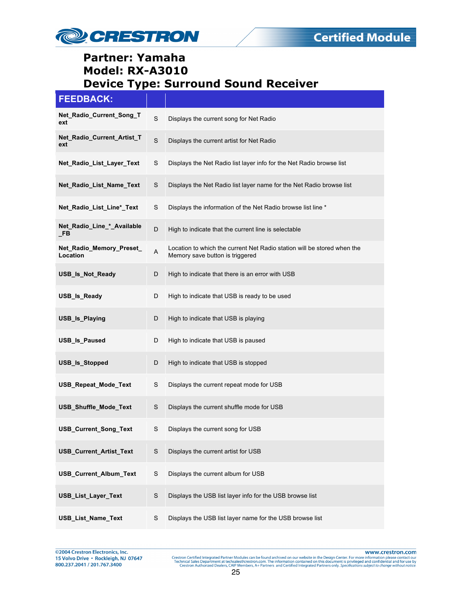

| <b>FEEDBACK:</b>                        |             |                                                                                                            |
|-----------------------------------------|-------------|------------------------------------------------------------------------------------------------------------|
| Net_Radio_Current_Song_T<br>ext         | S           | Displays the current song for Net Radio                                                                    |
| Net Radio Current Artist T<br>ext       | $\mathbf S$ | Displays the current artist for Net Radio                                                                  |
| Net_Radio_List_Layer_Text               | S           | Displays the Net Radio list layer info for the Net Radio browse list                                       |
| Net_Radio_List_Name_Text                | S           | Displays the Net Radio list layer name for the Net Radio browse list                                       |
| Net_Radio_List_Line*_Text               | S           | Displays the information of the Net Radio browse list line *                                               |
| Net_Radio_Line_*_Available<br><b>FB</b> | D           | High to indicate that the current line is selectable                                                       |
| Net_Radio_Memory_Preset_<br>Location    | A           | Location to which the current Net Radio station will be stored when the<br>Memory save button is triggered |
| USB_Is_Not_Ready                        | D           | High to indicate that there is an error with USB                                                           |
| USB_Is_Ready                            | D           | High to indicate that USB is ready to be used                                                              |
| USB_Is_Playing                          | D           | High to indicate that USB is playing                                                                       |
| <b>USB_Is_Paused</b>                    | D           | High to indicate that USB is paused                                                                        |
| USB_Is_Stopped                          | D           | High to indicate that USB is stopped                                                                       |
| USB_Repeat_Mode_Text                    | S           | Displays the current repeat mode for USB                                                                   |
| USB_Shuffle_Mode_Text                   | S           | Displays the current shuffle mode for USB                                                                  |
| <b>USB_Current_Song_Text</b>            | S           | Displays the current song for USB                                                                          |
| USB_Current_Artist_Text                 | S           | Displays the current artist for USB                                                                        |
| USB_Current_Album_Text                  | $\mathbb S$ | Displays the current album for USB                                                                         |
| USB_List_Layer_Text                     | $\mathbb S$ | Displays the USB list layer info for the USB browse list                                                   |
| USB_List_Name_Text                      | $\mathsf S$ | Displays the USB list layer name for the USB browse list                                                   |

@2004 Crestron Electronics, Inc.<br>15 Volvo Drive • Rockleigh, NJ 07647 800.237.2041 / 201.767.3400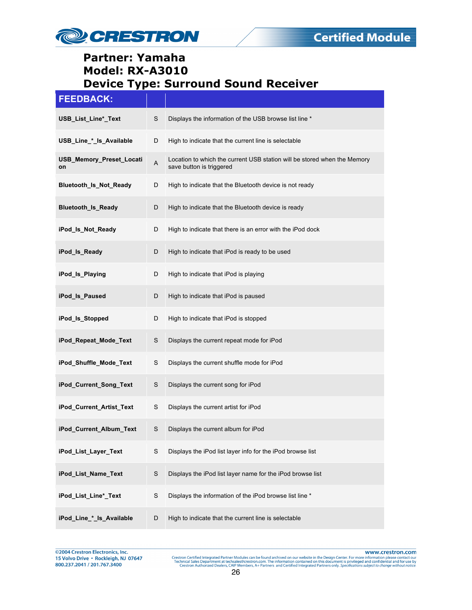

| <b>FEEDBACK:</b>               |             |                                                                                                      |
|--------------------------------|-------------|------------------------------------------------------------------------------------------------------|
| USB_List_Line*_Text            | S           | Displays the information of the USB browse list line *                                               |
| USB_Line_*_ls_Available        | D           | High to indicate that the current line is selectable                                                 |
| USB_Memory_Preset_Locati<br>on | A           | Location to which the current USB station will be stored when the Memory<br>save button is triggered |
| Bluetooth_Is_Not_Ready         | D           | High to indicate that the Bluetooth device is not ready                                              |
| <b>Bluetooth_Is_Ready</b>      | D           | High to indicate that the Bluetooth device is ready                                                  |
| iPod_ls_Not_Ready              | D           | High to indicate that there is an error with the iPod dock                                           |
| iPod_ls_Ready                  | D           | High to indicate that iPod is ready to be used                                                       |
| iPod_ls_Playing                | D           | High to indicate that iPod is playing                                                                |
| iPod_ls_Paused                 | D           | High to indicate that iPod is paused                                                                 |
| iPod_ls_Stopped                | D           | High to indicate that iPod is stopped                                                                |
| iPod_Repeat_Mode_Text          | S           | Displays the current repeat mode for iPod                                                            |
| iPod_Shuffle_Mode_Text         | S           | Displays the current shuffle mode for iPod                                                           |
| iPod_Current_Song_Text         | S           | Displays the current song for iPod                                                                   |
| iPod_Current_Artist_Text       | S           | Displays the current artist for iPod                                                                 |
| iPod_Current_Album_Text        | S           | Displays the current album for iPod                                                                  |
| iPod_List_Layer_Text           | S           | Displays the iPod list layer info for the iPod browse list                                           |
| iPod_List_Name_Text            | $\mathbf S$ | Displays the iPod list layer name for the iPod browse list                                           |
| iPod_List_Line*_Text           | S           | Displays the information of the iPod browse list line *                                              |
| iPod_Line_*_ls_Available       | D           | High to indicate that the current line is selectable                                                 |

@2004 Crestron Electronics, Inc. 15 Volvo Drive · Rockleigh, NJ 07647 800.237.2041 / 201.767.3400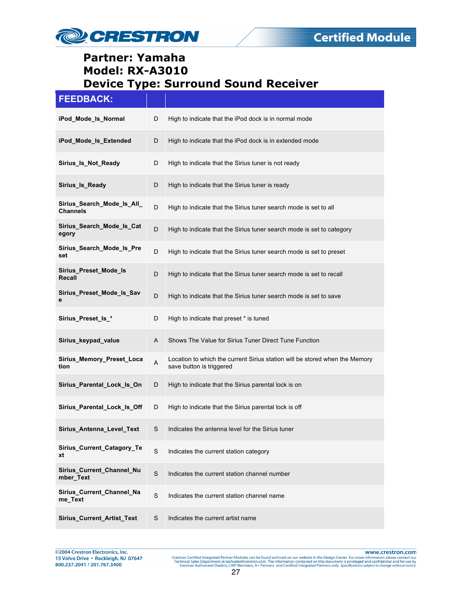

#### **FEEDBACK:**

| iPod_Mode_Is_Normal                           | D           | High to indicate that the iPod dock is in normal mode                                                   |
|-----------------------------------------------|-------------|---------------------------------------------------------------------------------------------------------|
| iPod_Mode_Is_Extended                         | D           | High to indicate that the iPod dock is in extended mode                                                 |
| Sirius_Is_Not_Ready                           | D           | High to indicate that the Sirius tuner is not ready                                                     |
| Sirius Is Ready                               | D           | High to indicate that the Sirius tuner is ready                                                         |
| Sirius_Search_Mode_Is_All_<br><b>Channels</b> | D           | High to indicate that the Sirius tuner search mode is set to all                                        |
| Sirius_Search_Mode_Is_Cat<br>egory            | D           | High to indicate that the Sirius tuner search mode is set to category                                   |
| Sirius_Search_Mode_Is_Pre<br>set              | D           | High to indicate that the Sirius tuner search mode is set to preset                                     |
| Sirius Preset Mode Is<br>Recall               | D           | High to indicate that the Sirius tuner search mode is set to recall                                     |
| Sirius_Preset_Mode_Is_Sav<br>е                | D           | High to indicate that the Sirius tuner search mode is set to save                                       |
| Sirius_Preset_ls_*                            | D           | High to indicate that preset * is tuned                                                                 |
| Sirius_keypad_value                           | A           | Shows The Value for Sirius Tuner Direct Tune Function                                                   |
| Sirius_Memory_Preset_Loca<br>tion             | A           | Location to which the current Sirius station will be stored when the Memory<br>save button is triggered |
| Sirius_Parental_Lock_Is_On                    | D           | High to indicate that the Sirius parental lock is on                                                    |
| Sirius_Parental_Lock_Is_Off                   | D           | High to indicate that the Sirius parental lock is off                                                   |
| Sirius_Antenna_Level_Text                     | S           | Indicates the antenna level for the Sirius tuner                                                        |
| Sirius_Current_Catagory_Te<br>xt              | S           | Indicates the current station category                                                                  |
| Sirius_Current_Channel_Nu<br>mber Text        | $\mathbf S$ | Indicates the current station channel number                                                            |
| Sirius_Current_Channel_Na<br>me Text          | S           | Indicates the current station channel name                                                              |
| Sirius_Current_Artist_Text                    | S           | Indicates the current artist name                                                                       |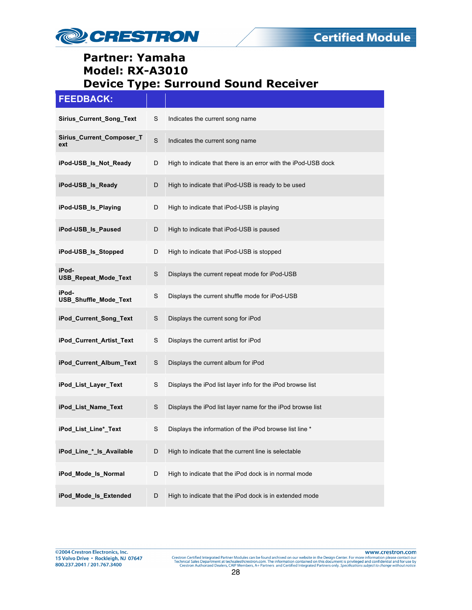

| <b>FEEDBACK:</b>                 |             |                                                                |
|----------------------------------|-------------|----------------------------------------------------------------|
| Sirius_Current_Song_Text         | S           | Indicates the current song name                                |
| Sirius_Current_Composer_T<br>ext | $\mathbf S$ | Indicates the current song name                                |
| iPod-USB_Is_Not_Ready            | D           | High to indicate that there is an error with the iPod-USB dock |
| iPod-USB Is Ready                | D           | High to indicate that iPod-USB is ready to be used             |
| iPod-USB_Is_Playing              | D           | High to indicate that iPod-USB is playing                      |
| iPod-USB_Is_Paused               | D           | High to indicate that iPod-USB is paused                       |
| iPod-USB_Is_Stopped              | D           | High to indicate that iPod-USB is stopped                      |
| iPod-<br>USB_Repeat_Mode_Text    | $\mathsf S$ | Displays the current repeat mode for iPod-USB                  |
| iPod-<br>USB_Shuffle_Mode_Text   | S           | Displays the current shuffle mode for iPod-USB                 |
| iPod_Current_Song_Text           | S           | Displays the current song for iPod                             |
| iPod_Current_Artist_Text         | S           | Displays the current artist for iPod                           |
| iPod_Current_Album_Text          | S           | Displays the current album for iPod                            |
| iPod_List_Layer_Text             | S           | Displays the iPod list layer info for the iPod browse list     |
| iPod_List_Name_Text              | $\mathsf S$ | Displays the iPod list layer name for the iPod browse list     |
| iPod_List_Line*_Text             | S           | Displays the information of the iPod browse list line *        |
| iPod Line * Is Available         | D           | High to indicate that the current line is selectable           |
| iPod_Mode_Is_Normal              | D           | High to indicate that the iPod dock is in normal mode          |
| iPod_Mode_Is_Extended            | D           | High to indicate that the iPod dock is in extended mode        |